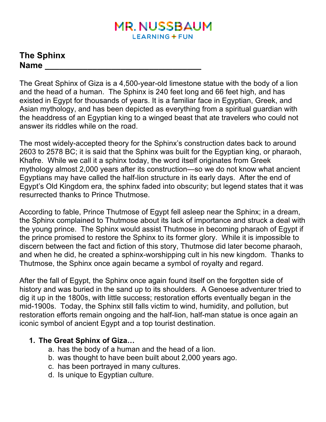# **MR. NUSSBAUM LEARNING + FUN**

## **The Sphinx Name \_\_\_\_\_\_\_\_\_\_\_\_\_\_\_\_\_\_\_\_\_\_\_\_\_\_\_\_\_\_\_\_\_**

The Great Sphinx of Giza is a 4,500-year-old limestone statue with the body of a lion and the head of a human. The Sphinx is 240 feet long and 66 feet high, and has existed in Egypt for thousands of years. It is a familiar face in Egyptian, Greek, and Asian mythology, and has been depicted as everything from a spiritual guardian with the headdress of an Egyptian king to a winged beast that ate travelers who could not answer its riddles while on the road.

The most widely-accepted theory for the Sphinx's construction dates back to around 2603 to 2578 BC; it is said that the Sphinx was built for the Egyptian king, or pharaoh, Khafre. While we call it a sphinx today, the word itself originates from Greek mythology almost 2,000 years after its construction—so we do not know what ancient Egyptians may have called the half-lion structure in its early days. After the end of Egypt's Old Kingdom era, the sphinx faded into obscurity; but legend states that it was resurrected thanks to Prince Thutmose.

According to fable, Prince Thutmose of Egypt fell asleep near the Sphinx; in a dream, the Sphinx complained to Thutmose about its lack of importance and struck a deal with the young prince. The Sphinx would assist Thutmose in becoming pharaoh of Egypt if the prince promised to restore the Sphinx to its former glory. While it is impossible to discern between the fact and fiction of this story, Thutmose did later become pharaoh, and when he did, he created a sphinx-worshipping cult in his new kingdom. Thanks to Thutmose, the Sphinx once again became a symbol of royalty and regard.

After the fall of Egypt, the Sphinx once again found itself on the forgotten side of history and was buried in the sand up to its shoulders. A Genoese adventurer tried to dig it up in the 1800s, with little success; restoration efforts eventually began in the mid-1900s. Today, the Sphinx still falls victim to wind, humidity, and pollution, but restoration efforts remain ongoing and the half-lion, half-man statue is once again an iconic symbol of ancient Egypt and a top tourist destination.

## **1. The Great Sphinx of Giza…**

- a. has the body of a human and the head of a lion.
- b. was thought to have been built about 2,000 years ago.
- c. has been portrayed in many cultures.
- d. Is unique to Egyptian culture.